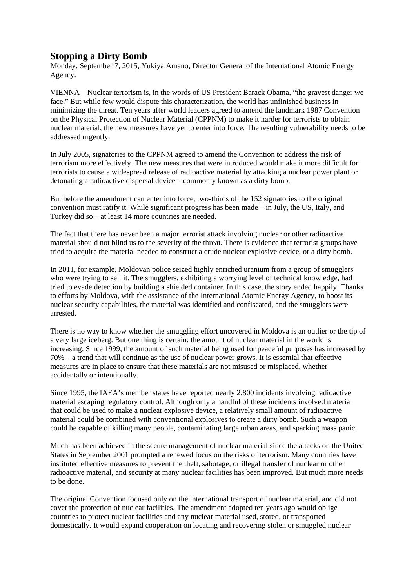## **Stopping a Dirty Bomb**

Monday, September 7, 2015, Yukiya Amano, Director General of the International Atomic Energy Agency.

VIENNA – Nuclear terrorism is, in the words of US President Barack Obama, "the gravest danger we face." But while few would dispute this characterization, the world has unfinished business in minimizing the threat. Ten years after world leaders agreed to amend the landmark 1987 Convention on the Physical Protection of Nuclear Material (CPPNM) to make it harder for terrorists to obtain nuclear material, the new measures have yet to enter into force. The resulting vulnerability needs to be addressed urgently.

In July 2005, signatories to the CPPNM agreed to amend the Convention to address the risk of terrorism more effectively. The new measures that were introduced would make it more difficult for terrorists to cause a widespread release of radioactive material by attacking a nuclear power plant or detonating a radioactive dispersal device – commonly known as a dirty bomb.

But before the amendment can enter into force, two-thirds of the 152 signatories to the original convention must ratify it. While significant progress has been made – in July, the US, Italy, and Turkey did so – at least 14 more countries are needed.

The fact that there has never been a major terrorist attack involving nuclear or other radioactive material should not blind us to the severity of the threat. There is evidence that terrorist groups have tried to acquire the material needed to construct a crude nuclear explosive device, or a dirty bomb.

In 2011, for example, Moldovan police seized highly enriched uranium from a group of smugglers who were trying to sell it. The smugglers, exhibiting a worrying level of technical knowledge, had tried to evade detection by building a shielded container. In this case, the story ended happily. Thanks to efforts by Moldova, with the assistance of the International Atomic Energy Agency, to boost its nuclear security capabilities, the material was identified and confiscated, and the smugglers were arrested.

There is no way to know whether the smuggling effort uncovered in Moldova is an outlier or the tip of a very large iceberg. But one thing is certain: the amount of nuclear material in the world is increasing. Since 1999, the amount of such material being used for peaceful purposes has increased by 70% – a trend that will continue as the use of nuclear power grows. It is essential that effective measures are in place to ensure that these materials are not misused or misplaced, whether accidentally or intentionally.

Since 1995, the IAEA's member states have reported nearly 2,800 incidents involving radioactive material escaping regulatory control. Although only a handful of these incidents involved material that could be used to make a nuclear explosive device, a relatively small amount of radioactive material could be combined with conventional explosives to create a dirty bomb. Such a weapon could be capable of killing many people, contaminating large urban areas, and sparking mass panic.

Much has been achieved in the secure management of nuclear material since the attacks on the United States in September 2001 prompted a renewed focus on the risks of terrorism. Many countries have instituted effective measures to prevent the theft, sabotage, or illegal transfer of nuclear or other radioactive material, and security at many nuclear facilities has been improved. But much more needs to be done.

The original Convention focused only on the international transport of nuclear material, and did not cover the protection of nuclear facilities. The amendment adopted ten years ago would oblige countries to protect nuclear facilities and any nuclear material used, stored, or transported domestically. It would expand cooperation on locating and recovering stolen or smuggled nuclear